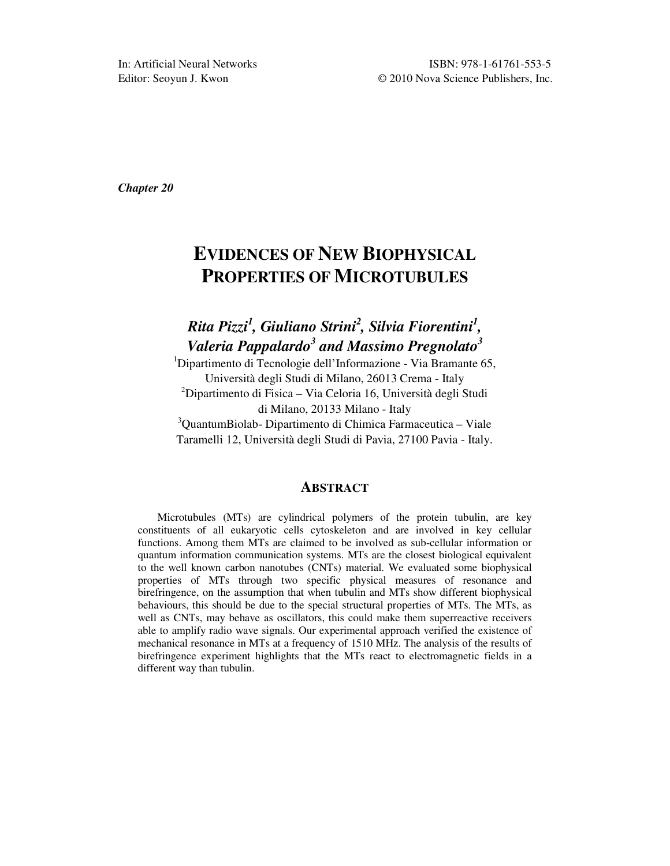*Chapter 20* 

# **EVIDENCES OF NEW BIOPHYSICAL PROPERTIES OF MICROTUBULES**

# *Rita Pizzi<sup>1</sup> , Giuliano Strini<sup>2</sup> , Silvia Fiorentini1 ,*  Valeria Pappalardo<sup>3</sup> and Massimo Pregnolato<sup>3</sup>

1 Dipartimento di Tecnologie dell'Informazione - Via Bramante 65, Università degli Studi di Milano, 26013 Crema - Italy <sup>2</sup>Dipartimento di Fisica – Via Celoria 16, Università degli Studi di Milano, 20133 Milano - Italy 3 QuantumBiolab- Dipartimento di Chimica Farmaceutica – Viale Taramelli 12, Università degli Studi di Pavia, 27100 Pavia - Italy.

## **ABSTRACT**

Microtubules (MTs) are cylindrical polymers of the protein tubulin, are key constituents of all eukaryotic cells cytoskeleton and are involved in key cellular functions. Among them MTs are claimed to be involved as sub-cellular information or quantum information communication systems. MTs are the closest biological equivalent to the well known carbon nanotubes (CNTs) material. We evaluated some biophysical properties of MTs through two specific physical measures of resonance and birefringence, on the assumption that when tubulin and MTs show different biophysical behaviours, this should be due to the special structural properties of MTs. The MTs, as well as CNTs, may behave as oscillators, this could make them superreactive receivers able to amplify radio wave signals. Our experimental approach verified the existence of mechanical resonance in MTs at a frequency of 1510 MHz. The analysis of the results of birefringence experiment highlights that the MTs react to electromagnetic fields in a different way than tubulin.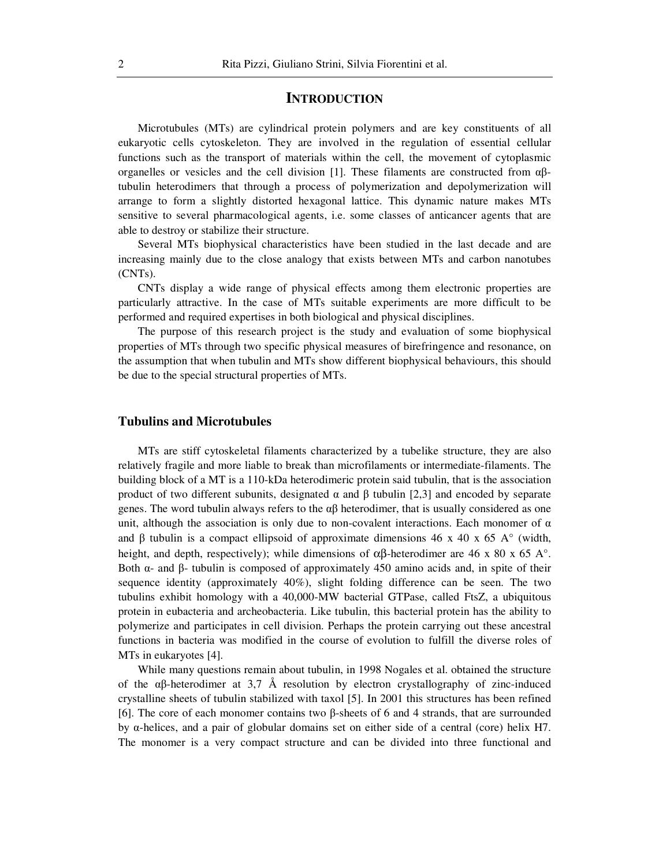## **INTRODUCTION**

Microtubules (MTs) are cylindrical protein polymers and are key constituents of all eukaryotic cells cytoskeleton. They are involved in the regulation of essential cellular functions such as the transport of materials within the cell, the movement of cytoplasmic organelles or vesicles and the cell division [1]. These filaments are constructed from  $\alpha\beta$ tubulin heterodimers that through a process of polymerization and depolymerization will arrange to form a slightly distorted hexagonal lattice. This dynamic nature makes MTs sensitive to several pharmacological agents, i.e. some classes of anticancer agents that are able to destroy or stabilize their structure.

Several MTs biophysical characteristics have been studied in the last decade and are increasing mainly due to the close analogy that exists between MTs and carbon nanotubes (CNTs).

CNTs display a wide range of physical effects among them electronic properties are particularly attractive. In the case of MTs suitable experiments are more difficult to be performed and required expertises in both biological and physical disciplines.

The purpose of this research project is the study and evaluation of some biophysical properties of MTs through two specific physical measures of birefringence and resonance, on the assumption that when tubulin and MTs show different biophysical behaviours, this should be due to the special structural properties of MTs.

## **Tubulins and Microtubules**

MTs are stiff cytoskeletal filaments characterized by a tubelike structure, they are also relatively fragile and more liable to break than microfilaments or intermediate-filaments. The building block of a MT is a 110-kDa heterodimeric protein said tubulin, that is the association product of two different subunits, designated  $\alpha$  and  $\beta$  tubulin [2,3] and encoded by separate genes. The word tubulin always refers to the  $\alpha\beta$  heterodimer, that is usually considered as one unit, although the association is only due to non-covalent interactions. Each monomer of  $\alpha$ and  $\beta$  tubulin is a compact ellipsoid of approximate dimensions 46 x 40 x 65 A $\degree$  (width, height, and depth, respectively); while dimensions of αβ-heterodimer are 46 x 80 x 65 A°. Both  $\alpha$ - and  $\beta$ - tubulin is composed of approximately 450 amino acids and, in spite of their sequence identity (approximately 40%), slight folding difference can be seen. The two tubulins exhibit homology with a 40,000-MW bacterial GTPase, called FtsZ, a ubiquitous protein in eubacteria and archeobacteria. Like tubulin, this bacterial protein has the ability to polymerize and participates in cell division. Perhaps the protein carrying out these ancestral functions in bacteria was modified in the course of evolution to fulfill the diverse roles of MTs in eukaryotes [4].

While many questions remain about tubulin, in 1998 Nogales et al. obtained the structure of the αβ-heterodimer at 3,7 Å resolution by electron crystallography of zinc-induced crystalline sheets of tubulin stabilized with taxol [5]. In 2001 this structures has been refined [6]. The core of each monomer contains two β-sheets of 6 and 4 strands, that are surrounded by α-helices, and a pair of globular domains set on either side of a central (core) helix H7. The monomer is a very compact structure and can be divided into three functional and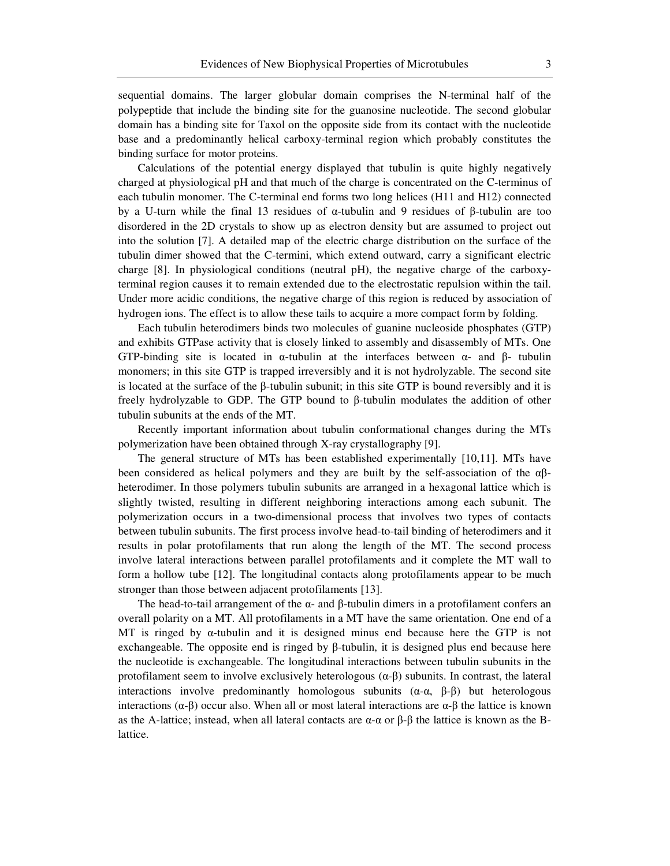sequential domains. The larger globular domain comprises the N-terminal half of the polypeptide that include the binding site for the guanosine nucleotide. The second globular domain has a binding site for Taxol on the opposite side from its contact with the nucleotide base and a predominantly helical carboxy-terminal region which probably constitutes the binding surface for motor proteins.

Calculations of the potential energy displayed that tubulin is quite highly negatively charged at physiological pH and that much of the charge is concentrated on the C-terminus of each tubulin monomer. The C-terminal end forms two long helices (H11 and H12) connected by a U-turn while the final 13 residues of α-tubulin and 9 residues of β-tubulin are too disordered in the 2D crystals to show up as electron density but are assumed to project out into the solution [7]. A detailed map of the electric charge distribution on the surface of the tubulin dimer showed that the C-termini, which extend outward, carry a significant electric charge [8]. In physiological conditions (neutral pH), the negative charge of the carboxyterminal region causes it to remain extended due to the electrostatic repulsion within the tail. Under more acidic conditions, the negative charge of this region is reduced by association of hydrogen ions. The effect is to allow these tails to acquire a more compact form by folding.

Each tubulin heterodimers binds two molecules of guanine nucleoside phosphates (GTP) and exhibits GTPase activity that is closely linked to assembly and disassembly of MTs. One GTP-binding site is located in  $\alpha$ -tubulin at the interfaces between  $\alpha$ - and  $\beta$ - tubulin monomers; in this site GTP is trapped irreversibly and it is not hydrolyzable. The second site is located at the surface of the  $\beta$ -tubulin subunit; in this site GTP is bound reversibly and it is freely hydrolyzable to GDP. The GTP bound to β-tubulin modulates the addition of other tubulin subunits at the ends of the MT.

Recently important information about tubulin conformational changes during the MTs polymerization have been obtained through X-ray crystallography [9].

The general structure of MTs has been established experimentally [10,11]. MTs have been considered as helical polymers and they are built by the self-association of the  $\alpha\beta$ heterodimer. In those polymers tubulin subunits are arranged in a hexagonal lattice which is slightly twisted, resulting in different neighboring interactions among each subunit. The polymerization occurs in a two-dimensional process that involves two types of contacts between tubulin subunits. The first process involve head-to-tail binding of heterodimers and it results in polar protofilaments that run along the length of the MT. The second process involve lateral interactions between parallel protofilaments and it complete the MT wall to form a hollow tube [12]. The longitudinal contacts along protofilaments appear to be much stronger than those between adjacent protofilaments [13].

The head-to-tail arrangement of the  $\alpha$ - and  $\beta$ -tubulin dimers in a protofilament confers an overall polarity on a MT. All protofilaments in a MT have the same orientation. One end of a MT is ringed by  $\alpha$ -tubulin and it is designed minus end because here the GTP is not exchangeable. The opposite end is ringed by  $\beta$ -tubulin, it is designed plus end because here the nucleotide is exchangeable. The longitudinal interactions between tubulin subunits in the protofilament seem to involve exclusively heterologous  $(\alpha-\beta)$  subunits. In contrast, the lateral interactions involve predominantly homologous subunits  $(\alpha-\alpha, \beta-\beta)$  but heterologous interactions (α-β) occur also. When all or most lateral interactions are α-β the lattice is known as the A-lattice; instead, when all lateral contacts are  $\alpha$ -α or β-β the lattice is known as the Blattice.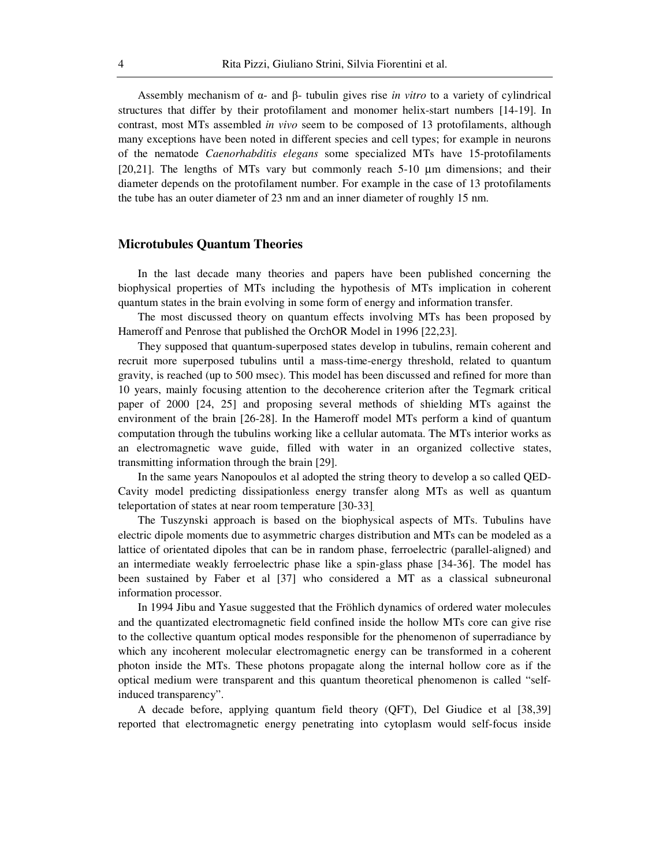Assembly mechanism of α- and β- tubulin gives rise *in vitro* to a variety of cylindrical structures that differ by their protofilament and monomer helix-start numbers [14-19]. In contrast, most MTs assembled *in vivo* seem to be composed of 13 protofilaments, although many exceptions have been noted in different species and cell types; for example in neurons of the nematode *Caenorhabditis elegans* some specialized MTs have 15-protofilaments [20,21]. The lengths of MTs vary but commonly reach 5-10 μm dimensions; and their diameter depends on the protofilament number. For example in the case of 13 protofilaments the tube has an outer diameter of 23 nm and an inner diameter of roughly 15 nm.

#### **Microtubules Quantum Theories**

In the last decade many theories and papers have been published concerning the biophysical properties of MTs including the hypothesis of MTs implication in coherent quantum states in the brain evolving in some form of energy and information transfer.

The most discussed theory on quantum effects involving MTs has been proposed by Hameroff and Penrose that published the OrchOR Model in 1996 [22,23].

They supposed that quantum-superposed states develop in tubulins, remain coherent and recruit more superposed tubulins until a mass-time-energy threshold, related to quantum gravity, is reached (up to 500 msec). This model has been discussed and refined for more than 10 years, mainly focusing attention to the decoherence criterion after the Tegmark critical paper of 2000 [24, 25] and proposing several methods of shielding MTs against the environment of the brain [26-28]. In the Hameroff model MTs perform a kind of quantum computation through the tubulins working like a cellular automata. The MTs interior works as an electromagnetic wave guide, filled with water in an organized collective states, transmitting information through the brain [29].

In the same years Nanopoulos et al adopted the string theory to develop a so called QED-Cavity model predicting dissipationless energy transfer along MTs as well as quantum teleportation of states at near room temperature [30-33].

The Tuszynski approach is based on the biophysical aspects of MTs. Tubulins have electric dipole moments due to asymmetric charges distribution and MTs can be modeled as a lattice of orientated dipoles that can be in random phase, ferroelectric (parallel-aligned) and an intermediate weakly ferroelectric phase like a spin-glass phase [34-36]. The model has been sustained by Faber et al [37] who considered a MT as a classical subneuronal information processor.

In 1994 Jibu and Yasue suggested that the Fröhlich dynamics of ordered water molecules and the quantizated electromagnetic field confined inside the hollow MTs core can give rise to the collective quantum optical modes responsible for the phenomenon of superradiance by which any incoherent molecular electromagnetic energy can be transformed in a coherent photon inside the MTs. These photons propagate along the internal hollow core as if the optical medium were transparent and this quantum theoretical phenomenon is called "selfinduced transparency".

A decade before, applying quantum field theory (QFT), Del Giudice et al [38,39] reported that electromagnetic energy penetrating into cytoplasm would self-focus inside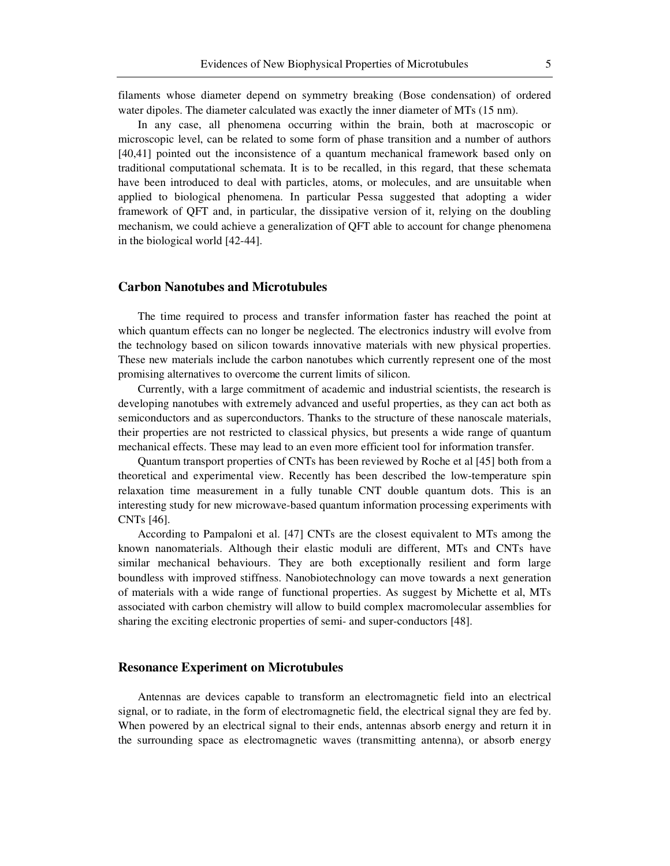filaments whose diameter depend on symmetry breaking (Bose condensation) of ordered water dipoles. The diameter calculated was exactly the inner diameter of MTs (15 nm).

In any case, all phenomena occurring within the brain, both at macroscopic or microscopic level, can be related to some form of phase transition and a number of authors [40,41] pointed out the inconsistence of a quantum mechanical framework based only on traditional computational schemata. It is to be recalled, in this regard, that these schemata have been introduced to deal with particles, atoms, or molecules, and are unsuitable when applied to biological phenomena. In particular Pessa suggested that adopting a wider framework of QFT and, in particular, the dissipative version of it, relying on the doubling mechanism, we could achieve a generalization of QFT able to account for change phenomena in the biological world [42-44].

#### **Carbon Nanotubes and Microtubules**

The time required to process and transfer information faster has reached the point at which quantum effects can no longer be neglected. The electronics industry will evolve from the technology based on silicon towards innovative materials with new physical properties. These new materials include the carbon nanotubes which currently represent one of the most promising alternatives to overcome the current limits of silicon.

Currently, with a large commitment of academic and industrial scientists, the research is developing nanotubes with extremely advanced and useful properties, as they can act both as semiconductors and as superconductors. Thanks to the structure of these nanoscale materials, their properties are not restricted to classical physics, but presents a wide range of quantum mechanical effects. These may lead to an even more efficient tool for information transfer.

Quantum transport properties of CNTs has been reviewed by Roche et al [45] both from a theoretical and experimental view. Recently has been described the low-temperature spin relaxation time measurement in a fully tunable CNT double quantum dots. This is an interesting study for new microwave-based quantum information processing experiments with CNTs [46].

According to Pampaloni et al. [47] CNTs are the closest equivalent to MTs among the known nanomaterials. Although their elastic moduli are different, MTs and CNTs have similar mechanical behaviours. They are both exceptionally resilient and form large boundless with improved stiffness. Nanobiotechnology can move towards a next generation of materials with a wide range of functional properties. As suggest by Michette et al, MTs associated with carbon chemistry will allow to build complex macromolecular assemblies for sharing the exciting electronic properties of semi- and super-conductors [48].

#### **Resonance Experiment on Microtubules**

Antennas are devices capable to transform an electromagnetic field into an electrical signal, or to radiate, in the form of electromagnetic field, the electrical signal they are fed by. When powered by an electrical signal to their ends, antennas absorb energy and return it in the surrounding space as electromagnetic waves (transmitting antenna), or absorb energy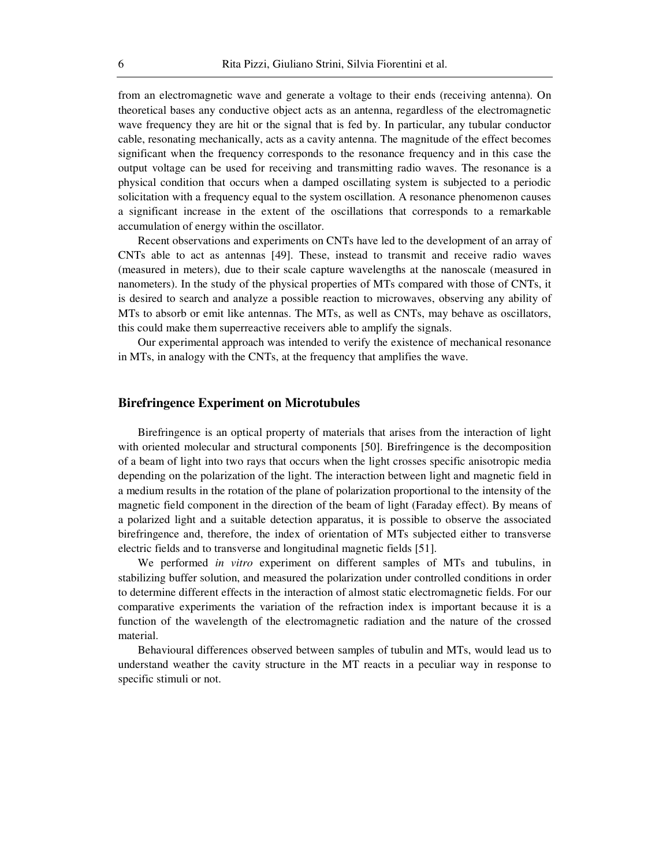from an electromagnetic wave and generate a voltage to their ends (receiving antenna). On theoretical bases any conductive object acts as an antenna, regardless of the electromagnetic wave frequency they are hit or the signal that is fed by. In particular, any tubular conductor cable, resonating mechanically, acts as a cavity antenna. The magnitude of the effect becomes significant when the frequency corresponds to the resonance frequency and in this case the output voltage can be used for receiving and transmitting radio waves. The resonance is a physical condition that occurs when a damped oscillating system is subjected to a periodic solicitation with a frequency equal to the system oscillation. A resonance phenomenon causes a significant increase in the extent of the oscillations that corresponds to a remarkable accumulation of energy within the oscillator.

Recent observations and experiments on CNTs have led to the development of an array of CNTs able to act as antennas [49]. These, instead to transmit and receive radio waves (measured in meters), due to their scale capture wavelengths at the nanoscale (measured in nanometers). In the study of the physical properties of MTs compared with those of CNTs, it is desired to search and analyze a possible reaction to microwaves, observing any ability of MTs to absorb or emit like antennas. The MTs, as well as CNTs, may behave as oscillators, this could make them superreactive receivers able to amplify the signals.

Our experimental approach was intended to verify the existence of mechanical resonance in MTs, in analogy with the CNTs, at the frequency that amplifies the wave.

### **Birefringence Experiment on Microtubules**

Birefringence is an optical property of materials that arises from the interaction of light with oriented molecular and structural components [50]. Birefringence is the decomposition of a beam of light into two rays that occurs when the light crosses specific anisotropic media depending on the polarization of the light. The interaction between light and magnetic field in a medium results in the rotation of the plane of polarization proportional to the intensity of the magnetic field component in the direction of the beam of light (Faraday effect). By means of a polarized light and a suitable detection apparatus, it is possible to observe the associated birefringence and, therefore, the index of orientation of MTs subjected either to transverse electric fields and to transverse and longitudinal magnetic fields [51].

We performed *in vitro* experiment on different samples of MTs and tubulins, in stabilizing buffer solution, and measured the polarization under controlled conditions in order to determine different effects in the interaction of almost static electromagnetic fields. For our comparative experiments the variation of the refraction index is important because it is a function of the wavelength of the electromagnetic radiation and the nature of the crossed material.

Behavioural differences observed between samples of tubulin and MTs, would lead us to understand weather the cavity structure in the MT reacts in a peculiar way in response to specific stimuli or not.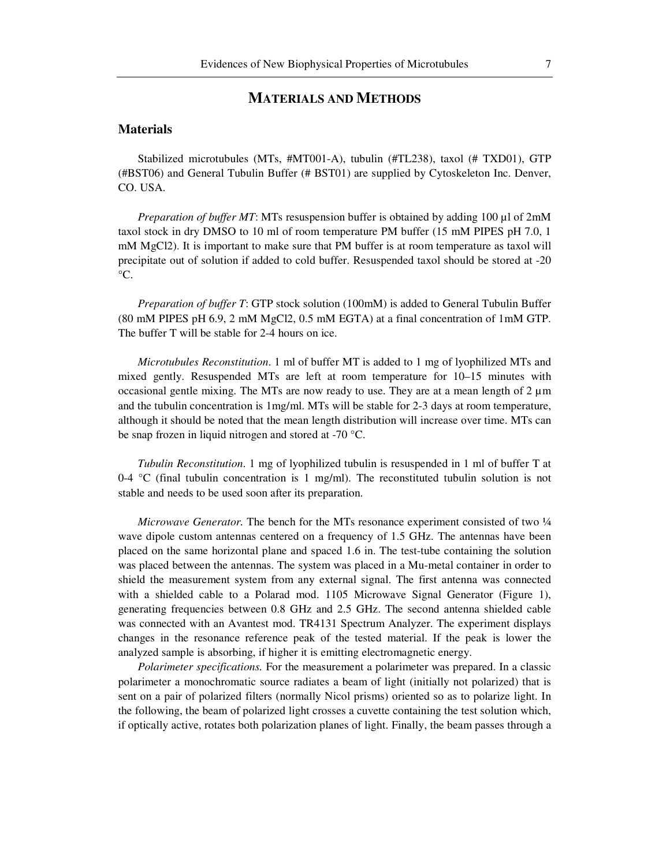# **MATERIALS AND METHODS**

## **Materials**

Stabilized microtubules (MTs, #MT001-A), tubulin (#TL238), taxol (# TXD01), GTP (#BST06) and General Tubulin Buffer (# BST01) are supplied by Cytoskeleton Inc. Denver, CO. USA.

*Preparation of buffer MT*: MTs resuspension buffer is obtained by adding 100 µl of 2mM taxol stock in dry DMSO to 10 ml of room temperature PM buffer (15 mM PIPES pH 7.0, 1 mM MgCl2). It is important to make sure that PM buffer is at room temperature as taxol will precipitate out of solution if added to cold buffer. Resuspended taxol should be stored at -20  $\rm{^{\circ}C}.$ 

*Preparation of buffer T*: GTP stock solution (100mM) is added to General Tubulin Buffer (80 mM PIPES pH 6.9, 2 mM MgCl2, 0.5 mM EGTA) at a final concentration of 1mM GTP. The buffer T will be stable for 2-4 hours on ice.

*Microtubules Reconstitution*. 1 ml of buffer MT is added to 1 mg of lyophilized MTs and mixed gently. Resuspended MTs are left at room temperature for 10–15 minutes with occasional gentle mixing. The MTs are now ready to use. They are at a mean length of  $2 \mu m$ and the tubulin concentration is 1mg/ml. MTs will be stable for 2-3 days at room temperature, although it should be noted that the mean length distribution will increase over time. MTs can be snap frozen in liquid nitrogen and stored at -70 °C.

*Tubulin Reconstitution*. 1 mg of lyophilized tubulin is resuspended in 1 ml of buffer T at 0-4  $\degree$ C (final tubulin concentration is 1 mg/ml). The reconstituted tubulin solution is not stable and needs to be used soon after its preparation.

*Microwave Generator.* The bench for the MTs resonance experiment consisted of two  $\frac{1}{4}$ wave dipole custom antennas centered on a frequency of 1.5 GHz. The antennas have been placed on the same horizontal plane and spaced 1.6 in. The test-tube containing the solution was placed between the antennas. The system was placed in a Mu-metal container in order to shield the measurement system from any external signal. The first antenna was connected with a shielded cable to a Polarad mod. 1105 Microwave Signal Generator (Figure 1), generating frequencies between 0.8 GHz and 2.5 GHz. The second antenna shielded cable was connected with an Avantest mod. TR4131 Spectrum Analyzer. The experiment displays changes in the resonance reference peak of the tested material. If the peak is lower the analyzed sample is absorbing, if higher it is emitting electromagnetic energy.

*Polarimeter specifications.* For the measurement a polarimeter was prepared. In a classic polarimeter a monochromatic source radiates a beam of light (initially not polarized) that is sent on a pair of polarized filters (normally Nicol prisms) oriented so as to polarize light. In the following, the beam of polarized light crosses a cuvette containing the test solution which, if optically active, rotates both polarization planes of light. Finally, the beam passes through a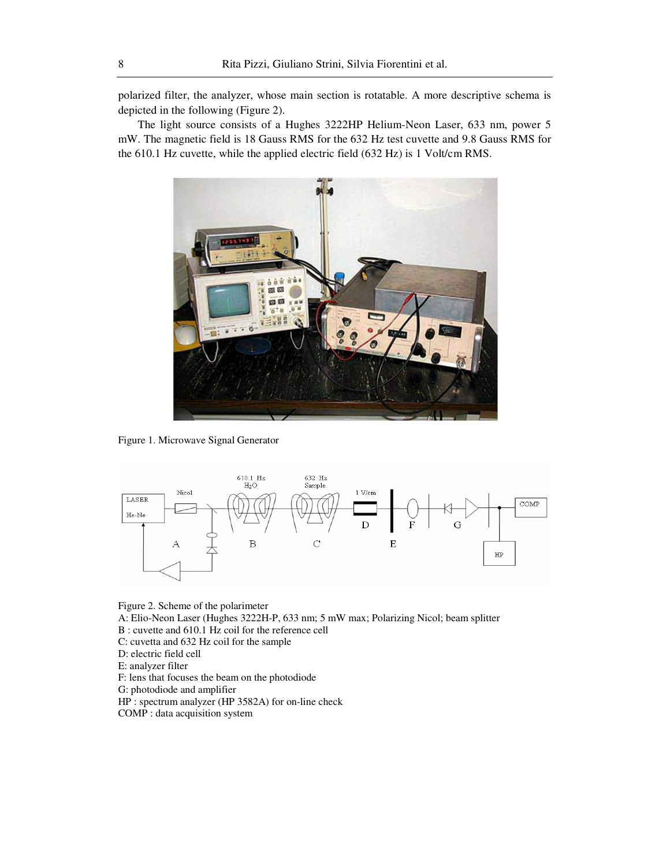polarized filter, the analyzer, whose main section is rotatable. A more descriptive schema is depicted in the following (Figure 2).

The light source consists of a Hughes 3222HP Helium-Neon Laser, 633 nm, power 5 mW. The magnetic field is 18 Gauss RMS for the 632 Hz test cuvette and 9.8 Gauss RMS for the 610.1 Hz cuvette, while the applied electric field (632 Hz) is 1 Volt/cm RMS.



Figure 1. Microwave Signal Generator



Figure 2. Scheme of the polarimeter A: Elio-Neon Laser (Hughes 3222H-P, 633 nm; 5 mW max; Polarizing Nicol; beam splitter B : cuvette and 610.1 Hz coil for the reference cell C: cuvetta and 632 Hz coil for the sample D: electric field cell E: analyzer filter F: lens that focuses the beam on the photodiode G: photodiode and amplifier HP : spectrum analyzer (HP 3582A) for on-line check COMP : data acquisition system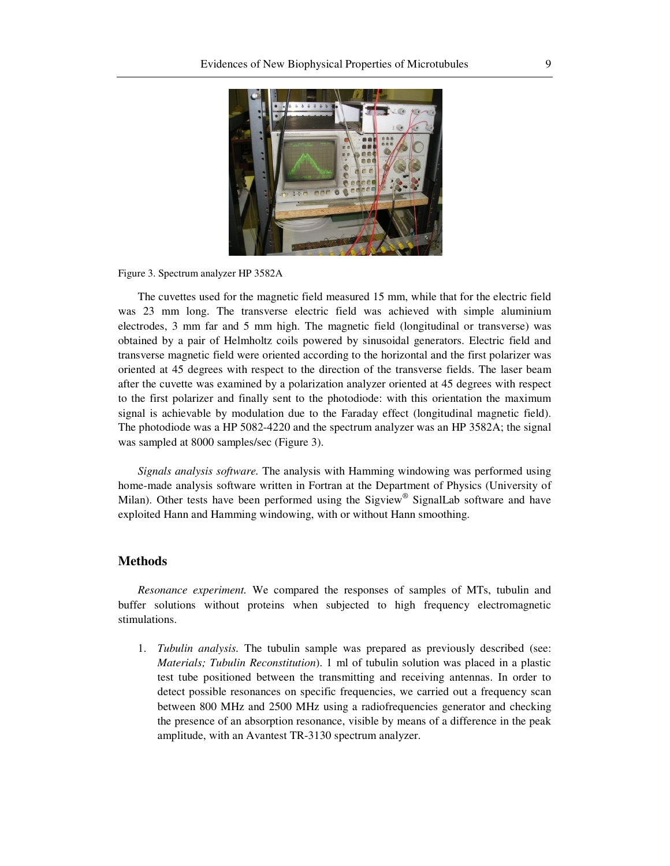

Figure 3. Spectrum analyzer HP 3582A

The cuvettes used for the magnetic field measured 15 mm, while that for the electric field was 23 mm long. The transverse electric field was achieved with simple aluminium electrodes, 3 mm far and 5 mm high. The magnetic field (longitudinal or transverse) was obtained by a pair of Helmholtz coils powered by sinusoidal generators. Electric field and transverse magnetic field were oriented according to the horizontal and the first polarizer was oriented at 45 degrees with respect to the direction of the transverse fields. The laser beam after the cuvette was examined by a polarization analyzer oriented at 45 degrees with respect to the first polarizer and finally sent to the photodiode: with this orientation the maximum signal is achievable by modulation due to the Faraday effect (longitudinal magnetic field). The photodiode was a HP 5082-4220 and the spectrum analyzer was an HP 3582A; the signal was sampled at 8000 samples/sec (Figure 3).

*Signals analysis software.* The analysis with Hamming windowing was performed using home-made analysis software written in Fortran at the Department of Physics (University of Milan). Other tests have been performed using the Sigview<sup>®</sup> SignalLab software and have exploited Hann and Hamming windowing, with or without Hann smoothing.

## **Methods**

*Resonance experiment.* We compared the responses of samples of MTs, tubulin and buffer solutions without proteins when subjected to high frequency electromagnetic stimulations.

1. *Tubulin analysis.* The tubulin sample was prepared as previously described (see: *Materials; Tubulin Reconstitution*). 1 ml of tubulin solution was placed in a plastic test tube positioned between the transmitting and receiving antennas. In order to detect possible resonances on specific frequencies, we carried out a frequency scan between 800 MHz and 2500 MHz using a radiofrequencies generator and checking the presence of an absorption resonance, visible by means of a difference in the peak amplitude, with an Avantest TR-3130 spectrum analyzer.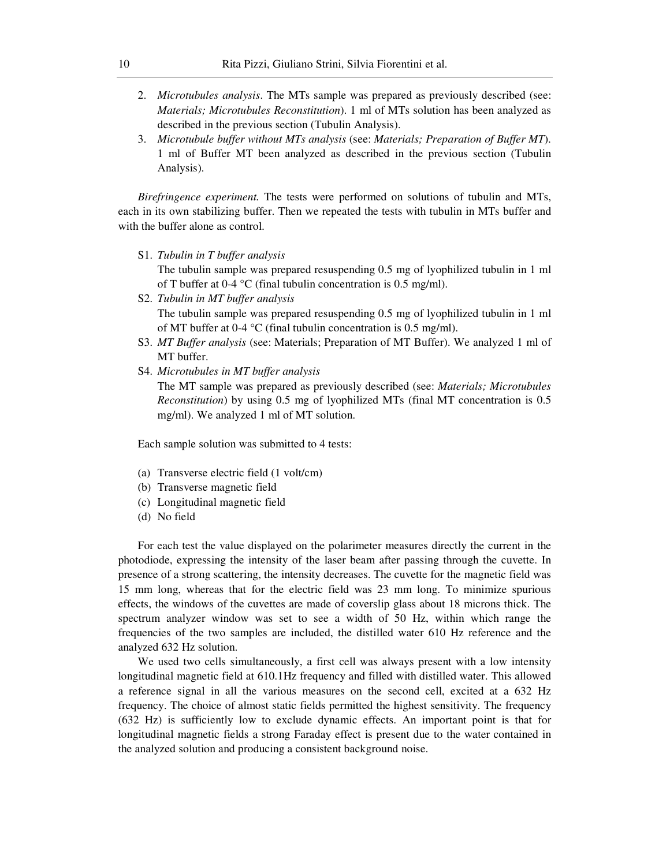- 2. *Microtubules analysis*. The MTs sample was prepared as previously described (see: *Materials; Microtubules Reconstitution*). 1 ml of MTs solution has been analyzed as described in the previous section (Tubulin Analysis).
- 3. *Microtubule buffer without MTs analysis* (see: *Materials; Preparation of Buffer MT*). 1 ml of Buffer MT been analyzed as described in the previous section (Tubulin Analysis).

*Birefringence experiment.* The tests were performed on solutions of tubulin and MTs, each in its own stabilizing buffer. Then we repeated the tests with tubulin in MTs buffer and with the buffer alone as control.

S1. *Tubulin in T buffer analysis* 

 The tubulin sample was prepared resuspending 0.5 mg of lyophilized tubulin in 1 ml of T buffer at 0-4 °C (final tubulin concentration is 0.5 mg/ml).

S2. *Tubulin in MT buffer analysis*

 The tubulin sample was prepared resuspending 0.5 mg of lyophilized tubulin in 1 ml of MT buffer at 0-4 °C (final tubulin concentration is 0.5 mg/ml).

- S3. *MT Buffer analysis* (see: Materials; Preparation of MT Buffer). We analyzed 1 ml of MT buffer.
- S4. *Microtubules in MT buffer analysis*

 The MT sample was prepared as previously described (see: *Materials; Microtubules Reconstitution*) by using 0.5 mg of lyophilized MTs (final MT concentration is 0.5 mg/ml). We analyzed 1 ml of MT solution.

Each sample solution was submitted to 4 tests:

- (a) Transverse electric field (1 volt/cm)
- (b) Transverse magnetic field
- (c) Longitudinal magnetic field
- (d) No field

For each test the value displayed on the polarimeter measures directly the current in the photodiode, expressing the intensity of the laser beam after passing through the cuvette. In presence of a strong scattering, the intensity decreases. The cuvette for the magnetic field was 15 mm long, whereas that for the electric field was 23 mm long. To minimize spurious effects, the windows of the cuvettes are made of coverslip glass about 18 microns thick. The spectrum analyzer window was set to see a width of 50 Hz, within which range the frequencies of the two samples are included, the distilled water 610 Hz reference and the analyzed 632 Hz solution.

We used two cells simultaneously, a first cell was always present with a low intensity longitudinal magnetic field at 610.1Hz frequency and filled with distilled water. This allowed a reference signal in all the various measures on the second cell, excited at a 632 Hz frequency. The choice of almost static fields permitted the highest sensitivity. The frequency (632 Hz) is sufficiently low to exclude dynamic effects. An important point is that for longitudinal magnetic fields a strong Faraday effect is present due to the water contained in the analyzed solution and producing a consistent background noise.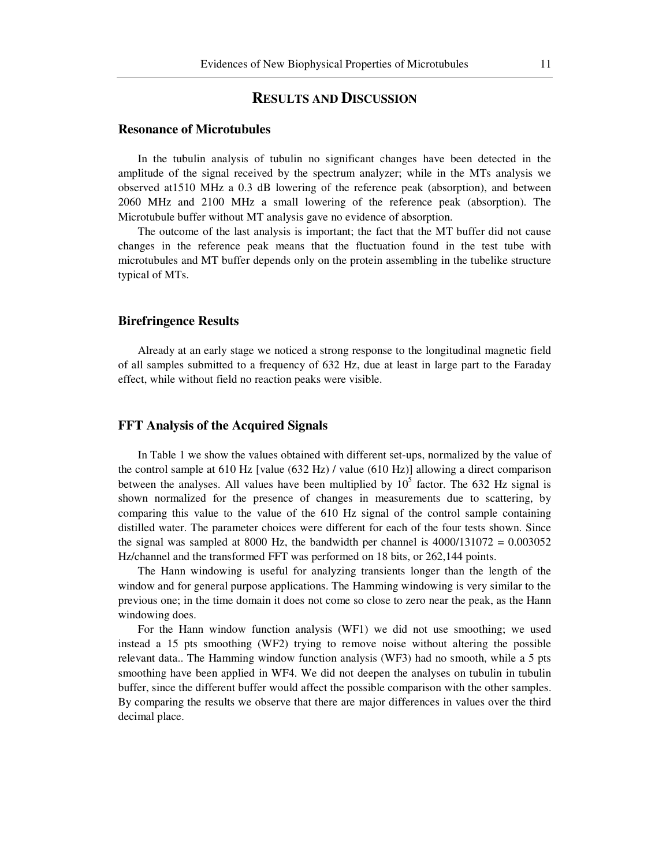# **RESULTS AND DISCUSSION**

#### **Resonance of Microtubules**

In the tubulin analysis of tubulin no significant changes have been detected in the amplitude of the signal received by the spectrum analyzer; while in the MTs analysis we observed at1510 MHz a 0.3 dB lowering of the reference peak (absorption), and between 2060 MHz and 2100 MHz a small lowering of the reference peak (absorption). The Microtubule buffer without MT analysis gave no evidence of absorption.

The outcome of the last analysis is important; the fact that the MT buffer did not cause changes in the reference peak means that the fluctuation found in the test tube with microtubules and MT buffer depends only on the protein assembling in the tubelike structure typical of MTs.

#### **Birefringence Results**

Already at an early stage we noticed a strong response to the longitudinal magnetic field of all samples submitted to a frequency of 632 Hz, due at least in large part to the Faraday effect, while without field no reaction peaks were visible.

#### **FFT Analysis of the Acquired Signals**

In Table 1 we show the values obtained with different set-ups, normalized by the value of the control sample at 610 Hz [value (632 Hz) / value (610 Hz)] allowing a direct comparison between the analyses. All values have been multiplied by  $10^5$  factor. The 632 Hz signal is shown normalized for the presence of changes in measurements due to scattering, by comparing this value to the value of the 610 Hz signal of the control sample containing distilled water. The parameter choices were different for each of the four tests shown. Since the signal was sampled at 8000 Hz, the bandwidth per channel is  $4000/131072 = 0.003052$ Hz/channel and the transformed FFT was performed on 18 bits, or 262,144 points.

The Hann windowing is useful for analyzing transients longer than the length of the window and for general purpose applications. The Hamming windowing is very similar to the previous one; in the time domain it does not come so close to zero near the peak, as the Hann windowing does.

For the Hann window function analysis (WF1) we did not use smoothing; we used instead a 15 pts smoothing (WF2) trying to remove noise without altering the possible relevant data.. The Hamming window function analysis (WF3) had no smooth, while a 5 pts smoothing have been applied in WF4. We did not deepen the analyses on tubulin in tubulin buffer, since the different buffer would affect the possible comparison with the other samples. By comparing the results we observe that there are major differences in values over the third decimal place.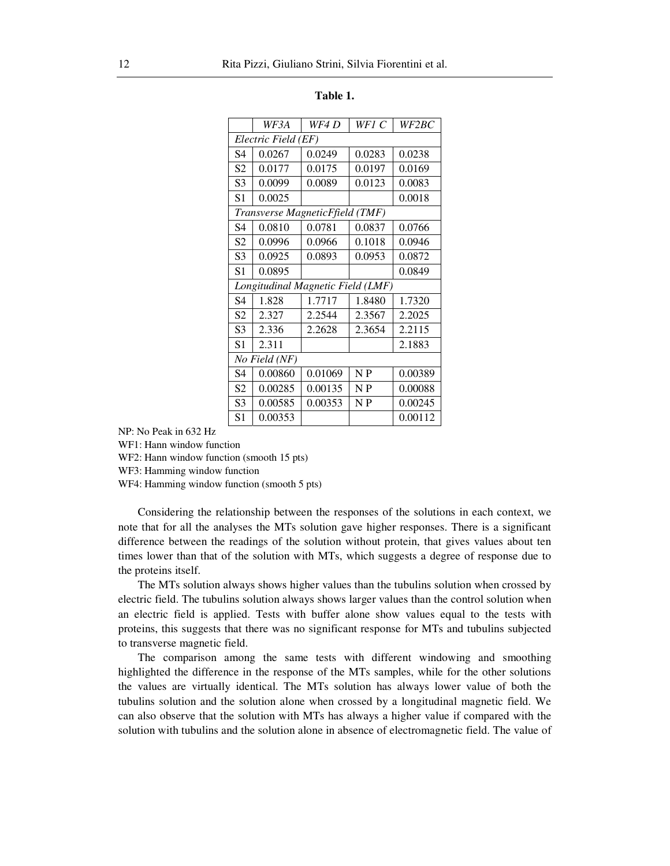|                                   | WF3A    | WF4 D   | WF1 C          | WF2BC   |  |  |
|-----------------------------------|---------|---------|----------------|---------|--|--|
| Electric Field (EF)               |         |         |                |         |  |  |
| S4                                | 0.0267  | 0.0249  | 0.0283         | 0.0238  |  |  |
| S <sub>2</sub>                    | 0.0177  | 0.0175  | 0.0197         | 0.0169  |  |  |
| S <sub>3</sub>                    | 0.0099  | 0.0089  | 0.0123         | 0.0083  |  |  |
| S <sub>1</sub>                    | 0.0025  |         |                | 0.0018  |  |  |
| Transverse MagneticFfield (TMF)   |         |         |                |         |  |  |
| S4                                | 0.0810  | 0.0781  | 0.0837         | 0.0766  |  |  |
| S <sub>2</sub>                    | 0.0996  | 0.0966  | 0.1018         | 0.0946  |  |  |
| S <sub>3</sub>                    | 0.0925  | 0.0893  | 0.0953         | 0.0872  |  |  |
| S <sub>1</sub>                    | 0.0895  |         |                | 0.0849  |  |  |
| Longitudinal Magnetic Field (LMF) |         |         |                |         |  |  |
| S <sub>4</sub>                    | 1.828   | 1.7717  | 1.8480         | 1.7320  |  |  |
| S <sub>2</sub>                    | 2.327   | 2.2544  | 2.3567         | 2.2025  |  |  |
| S <sub>3</sub>                    | 2.336   | 2.2628  | 2.3654         | 2.2115  |  |  |
| S <sub>1</sub>                    | 2.311   |         |                | 2.1883  |  |  |
| No Field (NF)                     |         |         |                |         |  |  |
| S4                                | 0.00860 | 0.01069 | N <sub>P</sub> | 0.00389 |  |  |
| S <sub>2</sub>                    | 0.00285 | 0.00135 | N P            | 0.00088 |  |  |
| S <sub>3</sub>                    | 0.00585 | 0.00353 | N P            | 0.00245 |  |  |
| S1                                | 0.00353 |         |                | 0.00112 |  |  |

| `able |  |
|-------|--|
|-------|--|

NP: No Peak in 632 Hz

WF1: Hann window function

WF2: Hann window function (smooth 15 pts)

WF3: Hamming window function

WF4: Hamming window function (smooth 5 pts)

Considering the relationship between the responses of the solutions in each context, we note that for all the analyses the MTs solution gave higher responses. There is a significant difference between the readings of the solution without protein, that gives values about ten times lower than that of the solution with MTs, which suggests a degree of response due to the proteins itself.

The MTs solution always shows higher values than the tubulins solution when crossed by electric field. The tubulins solution always shows larger values than the control solution when an electric field is applied. Tests with buffer alone show values equal to the tests with proteins, this suggests that there was no significant response for MTs and tubulins subjected to transverse magnetic field.

The comparison among the same tests with different windowing and smoothing highlighted the difference in the response of the MTs samples, while for the other solutions the values are virtually identical. The MTs solution has always lower value of both the tubulins solution and the solution alone when crossed by a longitudinal magnetic field. We can also observe that the solution with MTs has always a higher value if compared with the solution with tubulins and the solution alone in absence of electromagnetic field. The value of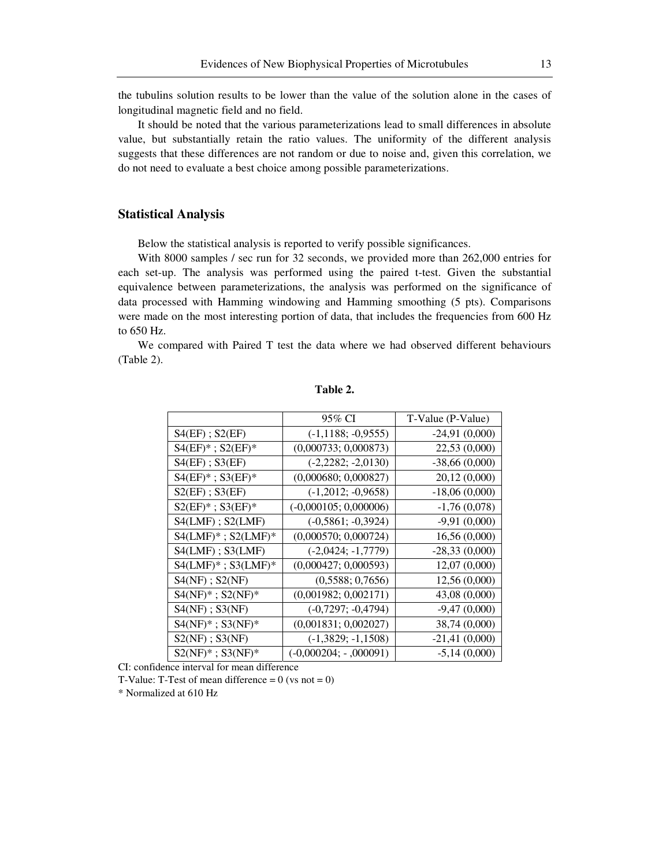the tubulins solution results to be lower than the value of the solution alone in the cases of longitudinal magnetic field and no field.

It should be noted that the various parameterizations lead to small differences in absolute value, but substantially retain the ratio values. The uniformity of the different analysis suggests that these differences are not random or due to noise and, given this correlation, we do not need to evaluate a best choice among possible parameterizations.

### **Statistical Analysis**

Below the statistical analysis is reported to verify possible significances.

With 8000 samples / sec run for 32 seconds, we provided more than 262,000 entries for each set-up. The analysis was performed using the paired t-test. Given the substantial equivalence between parameterizations, the analysis was performed on the significance of data processed with Hamming windowing and Hamming smoothing (5 pts). Comparisons were made on the most interesting portion of data, that includes the frequencies from 600 Hz to 650 Hz.

We compared with Paired T test the data where we had observed different behaviours (Table 2).

|                           | 95% CI                  | T-Value (P-Value) |
|---------------------------|-------------------------|-------------------|
| $S4(EF)$ ; $S2(EF)$       | $(-1, 1188; -0, 9555)$  | $-24,91(0,000)$   |
| $S4(EF)^*$ ; $S2(EF)^*$   | (0,000733; 0,000873)    | 22,53 (0,000)     |
| $S4(EF)$ ; $S3(EF)$       | $(-2,2282; -2,0130)$    | $-38,66(0,000)$   |
| $S4(EF)^*$ ; $S3(EF)^*$   | (0,000680; 0,000827)    | 20,12 (0,000)     |
| $S2(EF)$ ; $S3(EF)$       | $(-1,2012; -0,9658)$    | $-18,06(0,000)$   |
| $S2(EF)^*$ ; $S3(EF)^*$   | $(-0,000105; 0,000006)$ | $-1,76(0,078)$    |
| $S4(LMF)$ ; $S2(LMF)$     | $(-0,5861; -0,3924)$    | $-9,91(0,000)$    |
| $S4(LMF)*$ ; $S2(LMF)*$   | (0,000570; 0,000724)    | 16,56(0,000)      |
| $S4(LMF)$ ; $S3(LMF)$     | $(-2,0424; -1,7779)$    | $-28,33(0,000)$   |
| $S4(LMF)^*$ ; $S3(LMF)^*$ | (0,000427; 0,000593)    | 12,07(0,000)      |
| $S4(NF)$ ; $S2(NF)$       | (0,5588; 0,7656)        | 12,56(0,000)      |
| $S4(NF)^*$ ; $S2(NF)^*$   | (0,001982; 0,002171)    | 43,08 (0,000)     |
| $S4(NF)$ ; $S3(NF)$       | $(-0,7297; -0,4794)$    | $-9,47(0,000)$    |
| $S4(NF)^*$ ; $S3(NF)^*$   | (0,001831; 0,002027)    | 38,74 (0,000)     |
| $S2(NF)$ ; $S3(NF)$       | $(-1,3829; -1,1508)$    | $-21,41(0,000)$   |
| $S2(NF)^*$ ; $S3(NF)^*$   | $(-0,000204; -000091)$  | $-5,14(0,000)$    |

#### **Table 2.**

CI: confidence interval for mean difference

T-Value: T-Test of mean difference  $= 0$  (vs not  $= 0$ )

\* Normalized at 610 Hz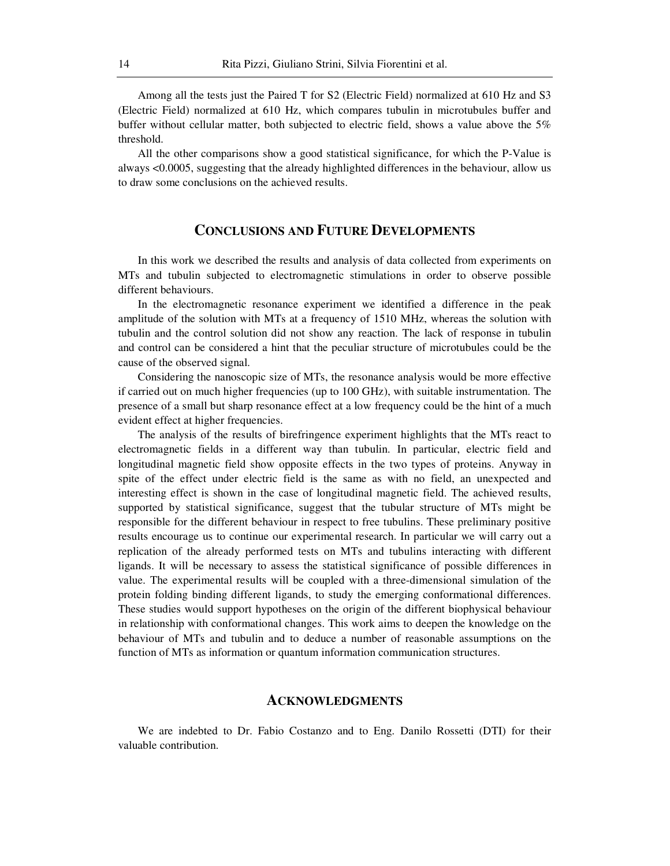Among all the tests just the Paired T for S2 (Electric Field) normalized at 610 Hz and S3 (Electric Field) normalized at 610 Hz, which compares tubulin in microtubules buffer and buffer without cellular matter, both subjected to electric field, shows a value above the 5% threshold.

All the other comparisons show a good statistical significance, for which the P-Value is always <0.0005, suggesting that the already highlighted differences in the behaviour, allow us to draw some conclusions on the achieved results.

# **CONCLUSIONS AND FUTURE DEVELOPMENTS**

In this work we described the results and analysis of data collected from experiments on MTs and tubulin subjected to electromagnetic stimulations in order to observe possible different behaviours.

In the electromagnetic resonance experiment we identified a difference in the peak amplitude of the solution with MTs at a frequency of 1510 MHz, whereas the solution with tubulin and the control solution did not show any reaction. The lack of response in tubulin and control can be considered a hint that the peculiar structure of microtubules could be the cause of the observed signal.

Considering the nanoscopic size of MTs, the resonance analysis would be more effective if carried out on much higher frequencies (up to 100 GHz), with suitable instrumentation. The presence of a small but sharp resonance effect at a low frequency could be the hint of a much evident effect at higher frequencies.

The analysis of the results of birefringence experiment highlights that the MTs react to electromagnetic fields in a different way than tubulin. In particular, electric field and longitudinal magnetic field show opposite effects in the two types of proteins. Anyway in spite of the effect under electric field is the same as with no field, an unexpected and interesting effect is shown in the case of longitudinal magnetic field. The achieved results, supported by statistical significance, suggest that the tubular structure of MTs might be responsible for the different behaviour in respect to free tubulins. These preliminary positive results encourage us to continue our experimental research. In particular we will carry out a replication of the already performed tests on MTs and tubulins interacting with different ligands. It will be necessary to assess the statistical significance of possible differences in value. The experimental results will be coupled with a three-dimensional simulation of the protein folding binding different ligands, to study the emerging conformational differences. These studies would support hypotheses on the origin of the different biophysical behaviour in relationship with conformational changes. This work aims to deepen the knowledge on the behaviour of MTs and tubulin and to deduce a number of reasonable assumptions on the function of MTs as information or quantum information communication structures.

## **ACKNOWLEDGMENTS**

We are indebted to Dr. Fabio Costanzo and to Eng. Danilo Rossetti (DTI) for their valuable contribution.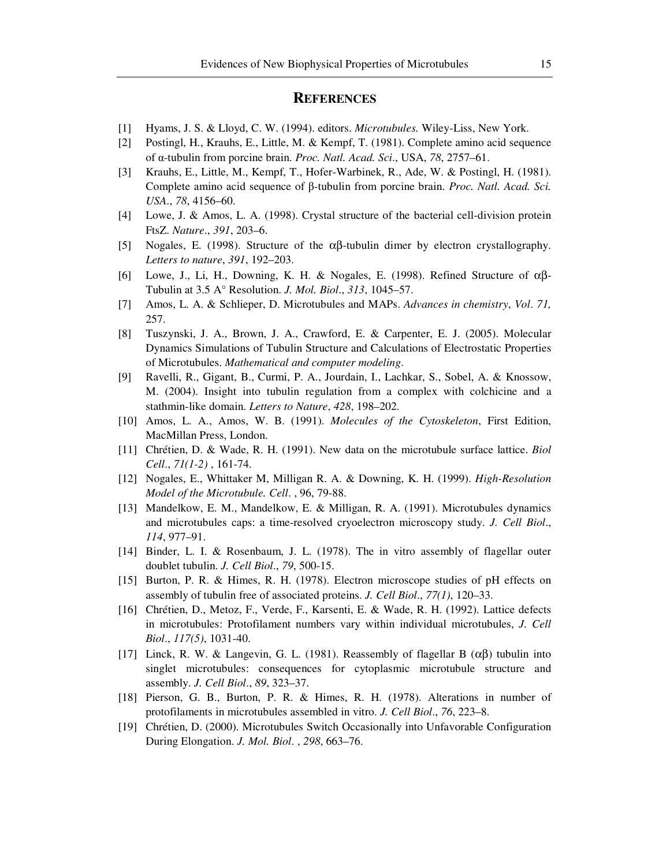## **REFERENCES**

- [1] Hyams, J. S. & Lloyd, C. W. (1994). editors. *Microtubules.* Wiley-Liss, New York.
- [2] Postingl, H., Krauhs, E., Little, M. & Kempf, T. (1981). Complete amino acid sequence of α-tubulin from porcine brain. *Proc. Natl. Acad. Sci*., USA, *78*, 2757–61.
- [3] Krauhs, E., Little, M., Kempf, T., Hofer-Warbinek, R., Ade, W. & Postingl, H. (1981). Complete amino acid sequence of β-tubulin from porcine brain. *Proc. Natl. Acad. Sci. USA*., *78*, 4156–60.
- [4] Lowe, J. & Amos, L. A. (1998). Crystal structure of the bacterial cell-division protein FtsZ. *Nature*., *391*, 203–6.
- [5] Nogales, E. (1998). Structure of the αβ-tubulin dimer by electron crystallography. *Letters to nature*, *391*, 192–203.
- [6] Lowe, J., Li, H., Downing, K. H. & Nogales, E. (1998). Refined Structure of αβ-Tubulin at 3.5 A° Resolution. *J. Mol. Biol*., *313*, 1045–57.
- [7] Amos, L. A. & Schlieper, D. Microtubules and MAPs. *Advances in chemistry*, *Vol*. *71,* 257.
- [8] Tuszynski, J. A., Brown, J. A., Crawford, E. & Carpenter, E. J. (2005). Molecular Dynamics Simulations of Tubulin Structure and Calculations of Electrostatic Properties of Microtubules. *Mathematical and computer modeling*.
- [9] Ravelli, R., Gigant, B., Curmi, P. A., Jourdain, I., Lachkar, S., Sobel, A. & Knossow, M. (2004). Insight into tubulin regulation from a complex with colchicine and a stathmin-like domain. *Letters to Nature*, *428*, 198–202.
- [10] Amos, L. A., Amos, W. B. (1991). *Molecules of the Cytoskeleton*, First Edition, MacMillan Press, London.
- [11] Chrétien, D. & Wade, R. H. (1991). New data on the microtubule surface lattice. *Biol Cell*., *71(1-2)* , 161-74.
- [12] Nogales, E., Whittaker M, Milligan R. A. & Downing, K. H. (1999). *High-Resolution Model of the Microtubule. Cell*. , 96, 79-88.
- [13] Mandelkow, E. M., Mandelkow, E. & Milligan, R. A. (1991). Microtubules dynamics and microtubules caps: a time-resolved cryoelectron microscopy study. *J. Cell Biol*., *114*, 977–91.
- [14] Binder, L. I. & Rosenbaum, J. L. (1978). The in vitro assembly of flagellar outer doublet tubulin. *J. Cell Biol*., *79*, 500-15.
- [15] Burton, P. R. & Himes, R. H. (1978). Electron microscope studies of pH effects on assembly of tubulin free of associated proteins. *J. Cell Biol*., *77(1)*, 120–33.
- [16] Chrétien, D., Metoz, F., Verde, F., Karsenti, E. & Wade, R. H. (1992). Lattice defects in microtubules: Protofilament numbers vary within individual microtubules, *J. Cell Biol*., *117(5)*, 1031-40.
- [17] Linck, R. W. & Langevin, G. L. (1981). Reassembly of flagellar B  $(\alpha\beta)$  tubulin into singlet microtubules: consequences for cytoplasmic microtubule structure and assembly. *J. Cell Biol*., *89*, 323–37.
- [18] Pierson, G. B., Burton, P. R. & Himes, R. H. (1978). Alterations in number of protofilaments in microtubules assembled in vitro. *J. Cell Biol*., *76*, 223–8.
- [19] Chrétien, D. (2000). Microtubules Switch Occasionally into Unfavorable Configuration During Elongation. *J. Mol. Biol*. , *298*, 663–76.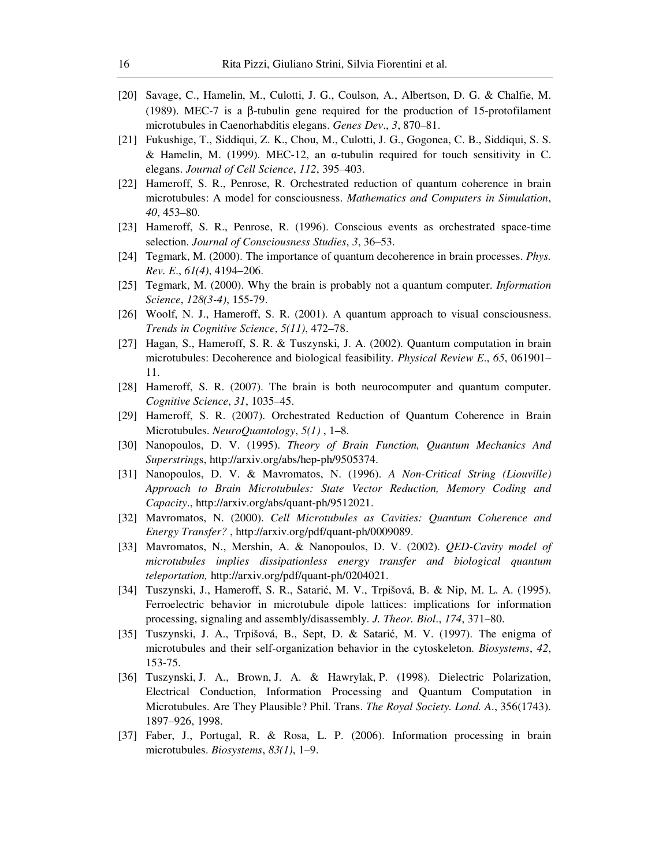- [20] Savage, C., Hamelin, M., Culotti, J. G., Coulson, A., Albertson, D. G. & Chalfie, M. (1989). MEC-7 is a β-tubulin gene required for the production of 15-protofilament microtubules in Caenorhabditis elegans. *Genes Dev*., *3*, 870–81.
- [21] Fukushige, T., Siddiqui, Z. K., Chou, M., Culotti, J. G., Gogonea, C. B., Siddiqui, S. S. & Hamelin, M. (1999). MEC-12, an α-tubulin required for touch sensitivity in C. elegans. *Journal of Cell Science*, *112*, 395–403.
- [22] Hameroff, S. R., Penrose, R. Orchestrated reduction of quantum coherence in brain microtubules: A model for consciousness. *Mathematics and Computers in Simulation*, *40*, 453–80.
- [23] Hameroff, S. R., Penrose, R. (1996). Conscious events as orchestrated space-time selection. *Journal of Consciousness Studies*, *3*, 36–53.
- [24] Tegmark, M. (2000). The importance of quantum decoherence in brain processes. *Phys. Rev. E*., *61(4)*, 4194–206.
- [25] Tegmark, M. (2000). Why the brain is probably not a quantum computer. *Information Science*, *128(3-4)*, 155-79.
- [26] Woolf, N. J., Hameroff, S. R. (2001). A quantum approach to visual consciousness. *Trends in Cognitive Science*, *5(11)*, 472–78.
- [27] Hagan, S., Hameroff, S. R. & Tuszynski, J. A. (2002). Quantum computation in brain microtubules: Decoherence and biological feasibility. *Physical Review E*., *65*, 061901– 11.
- [28] Hameroff, S. R. (2007). The brain is both neurocomputer and quantum computer. *Cognitive Science*, *31*, 1035–45.
- [29] Hameroff, S. R. (2007). Orchestrated Reduction of Quantum Coherence in Brain Microtubules. *NeuroQuantology*, *5(1)* , 1–8.
- [30] Nanopoulos, D. V. (1995). *Theory of Brain Function, Quantum Mechanics And Superstring*s, http://arxiv.org/abs/hep-ph/9505374.
- [31] Nanopoulos, D. V. & Mavromatos, N. (1996). *A Non-Critical String (Liouville) Approach to Brain Microtubules: State Vector Reduction, Memory Coding and Capacity*., http://arxiv.org/abs/quant-ph/9512021.
- [32] Mavromatos, N. (2000). *Cell Microtubules as Cavities: Quantum Coherence and Energy Transfer?* , http://arxiv.org/pdf/quant-ph/0009089.
- [33] Mavromatos, N., Mershin, A. & Nanopoulos, D. V. (2002). *QED-Cavity model of microtubules implies dissipationless energy transfer and biological quantum teleportation,* http://arxiv.org/pdf/quant-ph/0204021.
- [34] Tuszynski, J., Hameroff, S. R., Satarić, M. V., Trpišová, B. & Nip, M. L. A. (1995). Ferroelectric behavior in microtubule dipole lattices: implications for information processing, signaling and assembly/disassembly. *J. Theor. Biol*., *174*, 371–80.
- [35] Tuszynski, J. A., Trpišová, B., Sept, D. & Satarić, M. V. (1997). The enigma of microtubules and their self-organization behavior in the cytoskeleton. *Biosystems*, *42*, 153-75.
- [36] Tuszynski, J. A., Brown, J. A. & Hawrylak, P. (1998). Dielectric Polarization, Electrical Conduction, Information Processing and Quantum Computation in Microtubules. Are They Plausible? Phil. Trans. *The Royal Society. Lond. A*., 356(1743). 1897–926, 1998.
- [37] Faber, J., Portugal, R. & Rosa, L. P. (2006). Information processing in brain microtubules. *Biosystems*, *83(1)*, 1–9.